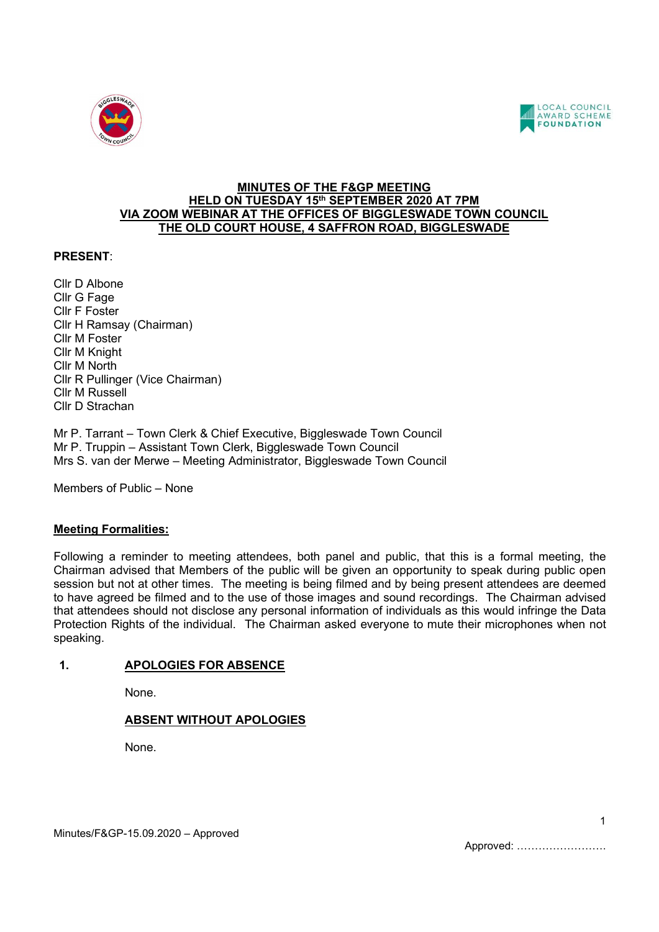



#### MINUTES OF THE F&GP MEETING HELD ON TUESDAY 15<sup>th</sup> SEPTEMBER 2020 AT 7PM VIA ZOOM WEBINAR AT THE OFFICES OF BIGGLESWADE TOWN COUNCIL THE OLD COURT HOUSE, 4 SAFFRON ROAD, BIGGLESWADE

# PRESENT:

Cllr D Albone Cllr G Fage Cllr F Foster Cllr H Ramsay (Chairman) Cllr M Foster Cllr M Knight Cllr M North Cllr R Pullinger (Vice Chairman) Cllr M Russell Cllr D Strachan

Mr P. Tarrant – Town Clerk & Chief Executive, Biggleswade Town Council Mr P. Truppin – Assistant Town Clerk, Biggleswade Town Council Mrs S. van der Merwe – Meeting Administrator, Biggleswade Town Council

Members of Public – None

# Meeting Formalities:

Following a reminder to meeting attendees, both panel and public, that this is a formal meeting, the Chairman advised that Members of the public will be given an opportunity to speak during public open session but not at other times. The meeting is being filmed and by being present attendees are deemed to have agreed be filmed and to the use of those images and sound recordings. The Chairman advised that attendees should not disclose any personal information of individuals as this would infringe the Data Protection Rights of the individual. The Chairman asked everyone to mute their microphones when not speaking.

# 1. APOLOGIES FOR ABSENCE

None.

# ABSENT WITHOUT APOLOGIES

None.

1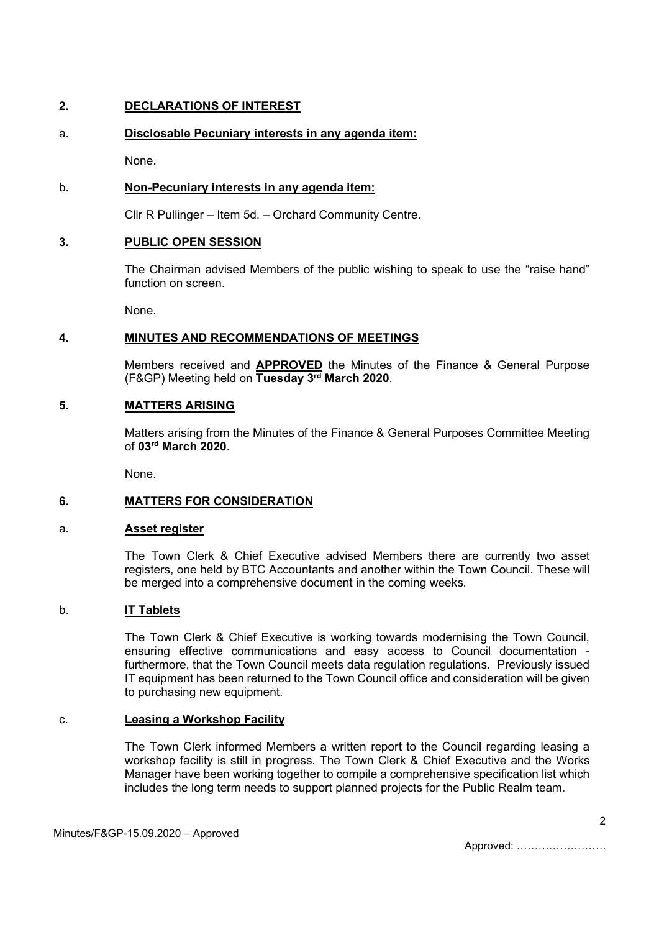# 2. DECLARATIONS OF INTEREST

# a. Disclosable Pecuniary interests in any agenda item:

None.

# b. Non-Pecuniary interests in any agenda item:

Cllr R Pullinger – Item 5d. – Orchard Community Centre.

# 3. PUBLIC OPEN SESSION

The Chairman advised Members of the public wishing to speak to use the "raise hand" function on screen.

None.

#### 4. MINUTES AND RECOMMENDATIONS OF MEETINGS

Members received and **APPROVED** the Minutes of the Finance & General Purpose (F&GP) Meeting held on Tuesday 3rd March 2020.

#### 5. MATTERS ARISING

 Matters arising from the Minutes of the Finance & General Purposes Committee Meeting of 03rd March 2020.

None.

# 6. MATTERS FOR CONSIDERATION

#### a. Asset register

The Town Clerk & Chief Executive advised Members there are currently two asset registers, one held by BTC Accountants and another within the Town Council. These will be merged into a comprehensive document in the coming weeks.

# b. IT Tablets

The Town Clerk & Chief Executive is working towards modernising the Town Council, ensuring effective communications and easy access to Council documentation furthermore, that the Town Council meets data regulation regulations. Previously issued IT equipment has been returned to the Town Council office and consideration will be given to purchasing new equipment.

#### c. Leasing a Workshop Facility

The Town Clerk informed Members a written report to the Council regarding leasing a workshop facility is still in progress. The Town Clerk & Chief Executive and the Works Manager have been working together to compile a comprehensive specification list which includes the long term needs to support planned projects for the Public Realm team.

Approved: …………………….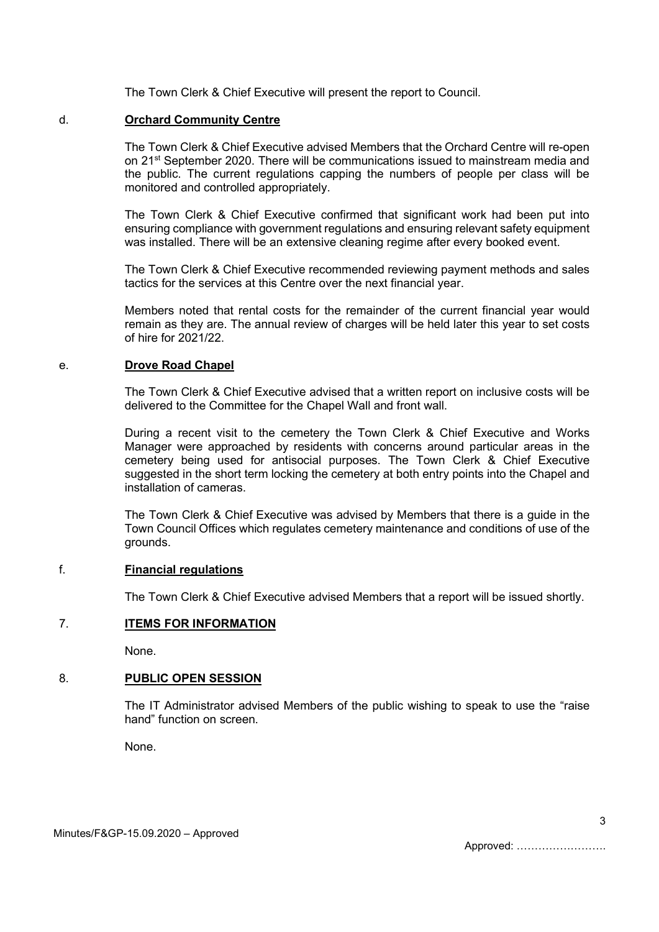The Town Clerk & Chief Executive will present the report to Council.

#### d. Orchard Community Centre

The Town Clerk & Chief Executive advised Members that the Orchard Centre will re-open on 21<sup>st</sup> September 2020. There will be communications issued to mainstream media and the public. The current regulations capping the numbers of people per class will be monitored and controlled appropriately.

The Town Clerk & Chief Executive confirmed that significant work had been put into ensuring compliance with government regulations and ensuring relevant safety equipment was installed. There will be an extensive cleaning regime after every booked event.

The Town Clerk & Chief Executive recommended reviewing payment methods and sales tactics for the services at this Centre over the next financial year.

Members noted that rental costs for the remainder of the current financial year would remain as they are. The annual review of charges will be held later this year to set costs of hire for 2021/22.

#### e. Drove Road Chapel

The Town Clerk & Chief Executive advised that a written report on inclusive costs will be delivered to the Committee for the Chapel Wall and front wall.

During a recent visit to the cemetery the Town Clerk & Chief Executive and Works Manager were approached by residents with concerns around particular areas in the cemetery being used for antisocial purposes. The Town Clerk & Chief Executive suggested in the short term locking the cemetery at both entry points into the Chapel and installation of cameras.

The Town Clerk & Chief Executive was advised by Members that there is a guide in the Town Council Offices which regulates cemetery maintenance and conditions of use of the grounds.

# f. Financial regulations

The Town Clerk & Chief Executive advised Members that a report will be issued shortly.

# 7. ITEMS FOR INFORMATION

None.

# 8. PUBLIC OPEN SESSION

The IT Administrator advised Members of the public wishing to speak to use the "raise hand" function on screen.

None.